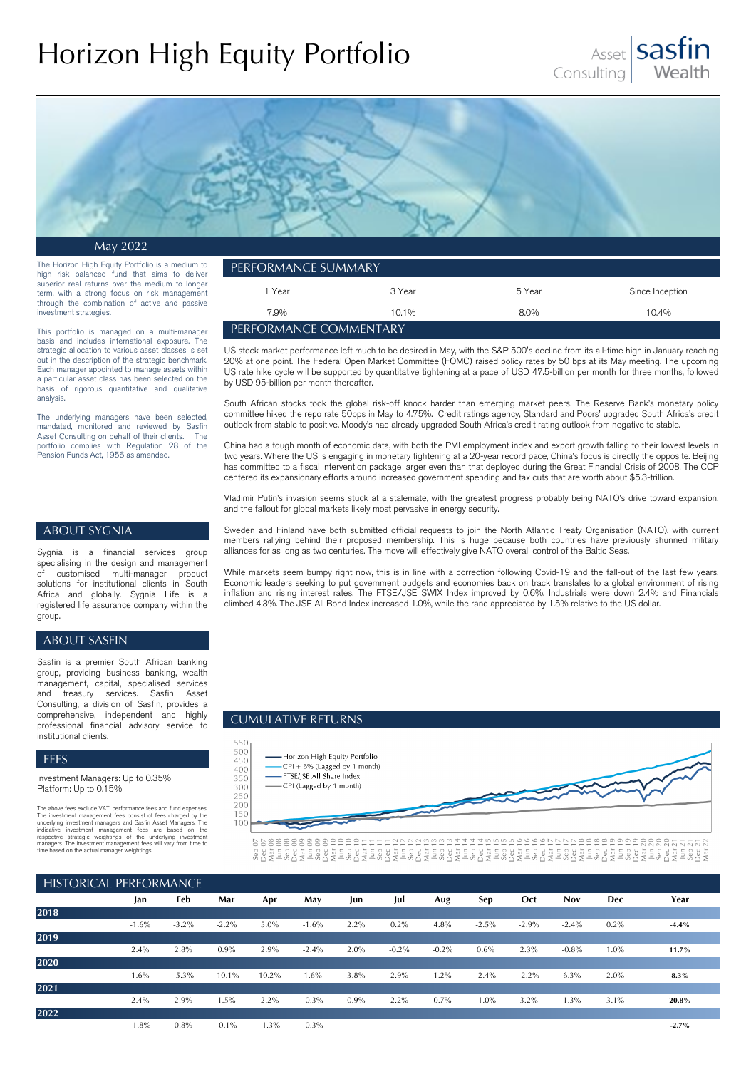# Horizon High Equity Portfolio





May 2022

The Horizon High Equity Portfolio is a medium to high risk balanced fund that aims to deliver superior real returns over the medium to longer term, with a strong focus on risk management through the combination of active and passive investment strategies.

This portfolio is managed on a multi-manager basis and includes international exposure. The strategic allocation to various asset classes is set out in the description of the strategic benchmark. Each manager appointed to manage assets within a particular asset class has been selected on the basis of rigorous quantitative and qualitative analysis.

The underlying managers have been selected, mandated, monitored and reviewed by Sasfin Asset Consulting on behalf of their clients. The portfolio complies with Regulation 28 of the Pension Funds Act, 1956 as amended.

| PERFORMANCE SUMMARY           |          |        |                 |  |  |  |
|-------------------------------|----------|--------|-----------------|--|--|--|
| Year                          | 3 Year   | 5 Year | Since Inception |  |  |  |
| 7.9%                          | $10.1\%$ | 8.0%   | $10.4\%$        |  |  |  |
| <b>FERFORMANCE COMMENTARY</b> |          |        |                 |  |  |  |

US stock market performance left much to be desired in May, with the S&P 500's decline from its all-time high in January reaching 20% at one point. The Federal Open Market Committee (FOMC) raised policy rates by 50 bps at its May meeting. The upcoming US rate hike cycle will be supported by quantitative tightening at a pace of USD 47.5-billion per month for three months, followed by USD 95-billion per month thereafter.

South African stocks took the global risk-off knock harder than emerging market peers. The Reserve Bank's monetary policy committee hiked the repo rate 50bps in May to 4.75%. Credit ratings agency, Standard and Poors' upgraded South Africa's credit outlook from stable to positive. Moody's had already upgraded South Africa's credit rating outlook from negative to stable.

China had a tough month of economic data, with both the PMI employment index and export growth falling to their lowest levels in two years. Where the US is engaging in monetary tightening at a 20-year record pace, China's focus is directly the opposite. Beijing has committed to a fiscal intervention package larger even than that deployed during the Great Financial Crisis of 2008. The CCP centered its expansionary efforts around increased government spending and tax cuts that are worth about \$5.3-trillion.

Vladimir Putin's invasion seems stuck at a stalemate, with the greatest progress probably being NATO's drive toward expansion, and the fallout for global markets likely most pervasive in energy security.

## ABOUT SYGNIA

Sygnia is a financial services group specialising in the design and management<br>of customised multi-manager product customised multi-manager product solutions for institutional clients in South Africa and globally. Sygnia Life is a registered life assurance company within the group.

#### ABOUT SASFIN

Sasfin is a premier South African banking group, providing business banking, wealth management, capital, specialised services treasury services. Sasfin Asset Consulting, a division of Sasfin, provides a comprehensive, independent and highly professional financial advisory service to institutional clients.

#### FEES

Investment Managers: Up to 0.35% Platform: Up to 0.15%

The above fees exclude VAT, performance fees and fund expenses.<br>The investment management fees consist of fees charged by the<br>underlying investment management fees consist of fees are based on the<br>underlying investment man

Sweden and Finland have both submitted official requests to join the North Atlantic Treaty Organisation (NATO), with current members rallying behind their proposed membership. This is huge because both countries have previously shunned military alliances for as long as two centuries. The move will effectively give NATO overall control of the Baltic Seas.

While markets seem bumpy right now, this is in line with a correction following Covid-19 and the fall-out of the last few years. Economic leaders seeking to put government budgets and economies back on track translates to a global environment of rising inflation and rising interest rates. The FTSE/JSE SWIX Index improved by 0.6%, Industrials were down 2.4% and Financials climbed 4.3%. The JSE All Bond Index increased 1.0%, while the rand appreciated by 1.5% relative to the US dollar.

#### CUMULATIVE RETURNS



| <b>HISTORICAL PERFORMANCE</b> |         |          |          |          |          |         |          |          |         |         |            |            |         |
|-------------------------------|---------|----------|----------|----------|----------|---------|----------|----------|---------|---------|------------|------------|---------|
|                               | Jan     | Feb      | Mar      | Apr      | May      | Jun     | Jul      | Aug      | Sep     | Oct     | <b>Nov</b> | <b>Dec</b> | Year    |
| 2018                          |         |          |          |          |          |         |          |          |         |         |            |            |         |
|                               | $-1.6%$ | $-3.2\%$ | $-2.2%$  | 5.0%     | $-1.6%$  | $2.2\%$ | 0.2%     | 4.8%     | $-2.5%$ | $-2.9%$ | $-2.4%$    | $0.2\%$    | $-4.4%$ |
| 2019                          |         |          |          |          |          |         |          |          |         |         |            |            |         |
|                               | 2.4%    | 2.8%     | 0.9%     | 2.9%     | $-2.4%$  | 2.0%    | $-0.2\%$ | $-0.2\%$ | $0.6\%$ | 2.3%    | $-0.8%$    | $1.0\%$    | 11.7%   |
| 2020                          |         |          |          |          |          |         |          |          |         |         |            |            |         |
|                               | 1.6%    | $-5.3\%$ | $-10.1%$ | 10.2%    | 1.6%     | 3.8%    | 2.9%     | 1.2%     | $-2.4%$ | $-2.2%$ | 6.3%       | 2.0%       | $8.3\%$ |
| 2021                          |         |          |          |          |          |         |          |          |         |         |            |            |         |
|                               | 2.4%    | 2.9%     | 1.5%     | 2.2%     | $-0.3\%$ | $0.9\%$ | 2.2%     | 0.7%     | $-1.0%$ | 3.2%    | 1.3%       | 3.1%       | 20.8%   |
| 2022                          |         |          |          |          |          |         |          |          |         |         |            |            |         |
|                               | $-1.8%$ | 0.8%     | $-0.1%$  | $-1.3\%$ | $-0.3\%$ |         |          |          |         |         |            |            | $-2.7%$ |